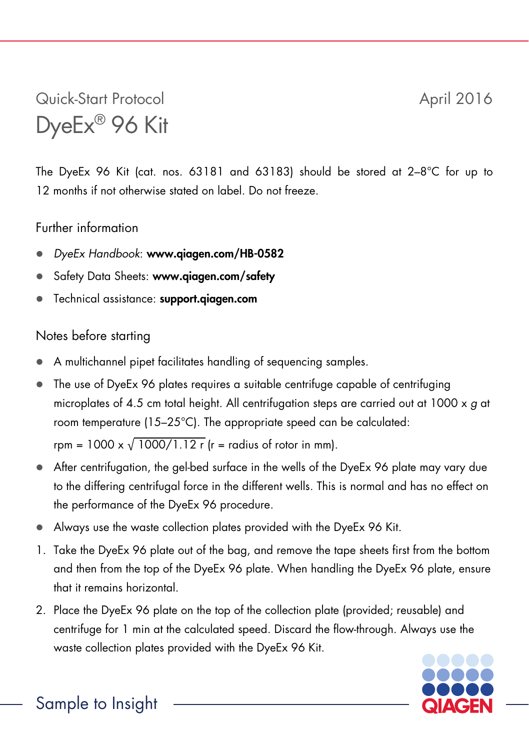## Quick-Start Protocol April 2016 DyeEx® 96 Kit

The DyeEx 96 Kit (cat. nos. 63181 and 63183) should be stored at 2–8°C for up to 12 months if not otherwise stated on label. Do not freeze.

## Further information

- *DyeEx Handbook*: www.qiagen.com/HB-0582
- Safety Data Sheets: www.qiagen.com/safety
- Technical assistance: support.qiagen.com

## Notes before starting

- A multichannel pipet facilitates handling of sequencing samples.
- $\bullet$  The use of DveEx 96 plates requires a suitable centrifuge capable of centrifuging microplates of 4.5 cm total height. All centrifugation steps are carried out at 1000 x *g* at room temperature (15–25°C). The appropriate speed can be calculated:

rpm =  $1000 \times \sqrt{1000/1.12 \text{ r}}$  (r = radius of rotor in mm).

- After centrifugation, the gel-bed surface in the wells of the DyeEx 96 plate may vary due to the differing centrifugal force in the different wells. This is normal and has no effect on the performance of the DyeEx 96 procedure.
- Always use the waste collection plates provided with the DyeEx 96 Kit.
- 1. Take the DyeEx 96 plate out of the bag, and remove the tape sheets first from the bottom and then from the top of the DyeEx 96 plate. When handling the DyeEx 96 plate, ensure that it remains horizontal.
- 2. Place the DyeEx 96 plate on the top of the collection plate (provided; reusable) and centrifuge for 1 min at the calculated speed. Discard the flow-through. Always use the waste collection plates provided with the DyeEx 96 Kit.



Sample to Insight